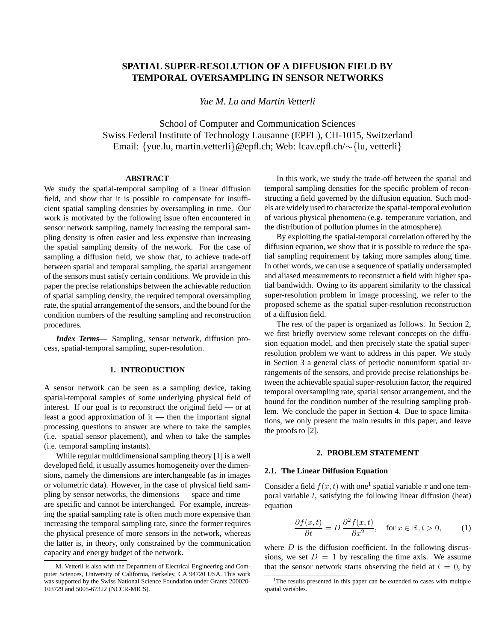# **SPATIAL SUPER-RESOLUTION OF A DIFFUSION FIELD BY TEMPORAL OVERSAMPLING IN SENSOR NETWORKS**

*Yue M. Lu and Martin Vetterli*

School of Computer and Communication Sciences Swiss Federal Institute of Technology Lausanne (EPFL), CH-1015, Switzerland Email: {yue.lu, martin.vetterli}@epfl.ch; Web: lcav.epfl.ch/∼{lu, vetterli}

# **ABSTRACT**

We study the spatial-temporal sampling of a linear diffusion field, and show that it is possible to compensate for insufficient spatial sampling densities by oversampling in time. Our work is motivated by the following issue often encountered in sensor network sampling, namely increasing the temporal sampling density is often easier and less expensive than increasing the spatial sampling density of the network. For the case of sampling a diffusion field, we show that, to achieve trade-off between spatial and temporal sampling, the spatial arrangement of the sensors must satisfy certain conditions. We provide in this paper the precise relationships between the achievable reduction of spatial sampling density, the required temporal oversampling rate, the spatial arrangement of the sensors, and the bound for the condition numbers of the resulting sampling and reconstruction procedures.

*Index Terms***—** Sampling, sensor network, diffusion process, spatial-temporal sampling, super-resolution.

### **1. INTRODUCTION**

A sensor network can be seen as a sampling device, taking spatial-temporal samples of some underlying physical field of interest. If our goal is to reconstruct the original field — or at least a good approximation of it — then the important signal processing questions to answer are where to take the samples (i.e. spatial sensor placement), and when to take the samples (i.e. temporal sampling instants).

While regular multidimensional sampling theory [1] is a well developed field, it usually assumes homogeneity over the dimensions, namely the dimensions are interchangeable (as in images or volumetric data). However, in the case of physical field sampling by sensor networks, the dimensions — space and time are specific and cannot be interchanged. For example, increasing the spatial sampling rate is often much more expensive than increasing the temporal sampling rate, since the former requires the physical presence of more sensors in the network, whereas the latter is, in theory, only constrained by the communication capacity and energy budget of the network.

In this work, we study the trade-off between the spatial and temporal sampling densities for the specific problem of reconstructing a field governed by the diffusion equation. Such models are widely used to characterize the spatial-temporal evolution of various physical phenomena (e.g. temperature variation, and the distribution of pollution plumes in the atmosphere).

By exploiting the spatial-temporal correlation offered by the diffusion equation, we show that it is possible to reduce the spatial sampling requirement by taking more samples along time. In other words, we can use a sequence of spatially undersampled and aliased measurements to reconstruct a field with higher spatial bandwidth. Owing to its apparent similarity to the classical super-resolution problem in image processing, we refer to the proposed scheme as the spatial super-resolution reconstruction of a diffusion field.

The rest of the paper is organized as follows. In Section 2, we first briefly overview some relevant concepts on the diffusion equation model, and then precisely state the spatial superresolution problem we want to address in this paper. We study in Section 3 a general class of periodic nonuniform spatial arrangements of the sensors, and provide precise relationships between the achievable spatial super-resolution factor, the required temporal oversampling rate, spatial sensor arrangement, and the bound for the condition number of the resulting sampling problem. We conclude the paper in Section 4. Due to space limitations, we only present the main results in this paper, and leave the proofs to [2].

### **2. PROBLEM STATEMENT**

#### **2.1. The Linear Diffusion Equation**

Consider a field  $f(x, t)$  with one<sup>1</sup> spatial variable x and one temporal variable  $t$ , satisfying the following linear diffusion (heat) equation

$$
\frac{\partial f(x,t)}{\partial t} = D \frac{\partial^2 f(x,t)}{\partial x^2}, \quad \text{for } x \in \mathbb{R}, t > 0,
$$
 (1)

where  $D$  is the diffusion coefficient. In the following discussions, we set  $D = 1$  by rescaling the time axis. We assume that the sensor network starts observing the field at  $t = 0$ , by

M. Vetterli is also with the Department of Electrical Engineering and Computer Sciences, University of California, Berkeley, CA 94720 USA. This work was supported by the Swiss National Science Foundation under Grants 200020- 103729 and 5005-67322 (NCCR-MICS).

<sup>&</sup>lt;sup>1</sup>The results presented in this paper can be extended to cases with multiple spatial variables.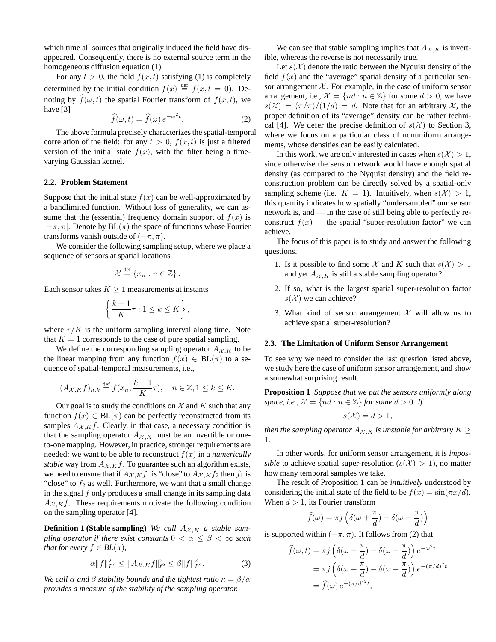which time all sources that originally induced the field have disappeared. Consequently, there is no external source term in the homogeneous diffusion equation (1).

For any  $t > 0$ , the field  $f(x, t)$  satisfying (1) is completely determined by the initial condition  $f(x) \stackrel{\text{def}}{=} f(x, t = 0)$ . Denoting by  $\widehat{f}(\omega, t)$  the spatial Fourier transform of  $f(x, t)$ , we have [3]

$$
\widehat{f}(\omega, t) = \widehat{f}(\omega) e^{-\omega^2 t}.
$$
 (2)

The above formula precisely characterizes the spatial-temporal correlation of the field: for any  $t > 0$ ,  $f(x, t)$  is just a filtered version of the initial state  $f(x)$ , with the filter being a timevarying Gaussian kernel.

# **2.2. Problem Statement**

Suppose that the initial state  $f(x)$  can be well-approximated by a bandlimited function. Without loss of generality, we can assume that the (essential) frequency domain support of  $f(x)$  is  $[-\pi, \pi]$ . Denote by BL $(\pi)$  the space of functions whose Fourier transforms vanish outside of  $(-\pi, \pi)$ .

We consider the following sampling setup, where we place a sequence of sensors at spatial locations

$$
\mathcal{X} \stackrel{\text{def}}{=} \{x_n : n \in \mathbb{Z}\}.
$$

Each sensor takes  $K \geq 1$  measurements at instants

$$
\left\{\frac{k-1}{K}\tau: 1 \leq k \leq K\right\},\
$$

where  $\tau/K$  is the uniform sampling interval along time. Note that  $K = 1$  corresponds to the case of pure spatial sampling.

We define the corresponding sampling operator  $A_{\mathcal{X},K}$  to be the linear mapping from any function  $f(x) \in BL(\pi)$  to a sequence of spatial-temporal measurements, i.e.,

$$
(A_{\mathcal{X},K}f)_{n,k} \stackrel{\text{def}}{=} f(x_n, \frac{k-1}{K}\tau), \quad n \in \mathbb{Z}, 1 \leq k \leq K.
$$

Our goal is to study the conditions on  $\mathcal X$  and  $K$  such that any function  $f(x) \in BL(\pi)$  can be perfectly reconstructed from its samples  $A_{\mathcal{X}, K} f$ . Clearly, in that case, a necessary condition is that the sampling operator  $A_{\mathcal{X},K}$  must be an invertible or oneto-one mapping. However, in practice, stronger requirements are needed: we want to be able to reconstruct  $f(x)$  in a *numerically stable* way from  $A_{\mathcal{X},K}f$ . To guarantee such an algorithm exists, we need to ensure that if  $A_{\mathcal{X},K}f_1$  is "close" to  $A_{\mathcal{X},K}f_2$  then  $f_1$  is "close" to  $f_2$  as well. Furthermore, we want that a small change in the signal  $f$  only produces a small change in its sampling data  $A_{X,K}f$ . These requirements motivate the following condition on the sampling operator [4].

**Definition 1 (Stable sampling)** We call  $A_{\mathcal{X},K}$  a stable sam*pling operator if there exist constants*  $0 < \alpha \leq \beta < \infty$  *such that for every*  $f \in BL(\pi)$ ,

$$
\alpha \|f\|_{L^2}^2 \le \|A_{\mathcal{X}, K} f\|_{\ell^2}^2 \le \beta \|f\|_{L^2}^2. \tag{3}
$$

*We call*  $\alpha$  *and*  $\beta$  *stability bounds and the tightest ratio*  $\kappa = \beta/\alpha$ *provides a measure of the stability of the sampling operator.*

We can see that stable sampling implies that  $A_{\mathcal{X},K}$  is invertible, whereas the reverse is not necessarily true.

Let  $s(\mathcal{X})$  denote the ratio between the Nyquist density of the field  $f(x)$  and the "average" spatial density of a particular sensor arrangement  $X$ . For example, in the case of uniform sensor arrangement, i.e.,  $\mathcal{X} = \{nd : n \in \mathbb{Z}\}\$  for some  $d > 0$ , we have  $s(\mathcal{X}) = (\pi/\pi)/(1/d) = d$ . Note that for an arbitrary X, the proper definition of its "average" density can be rather technical [4]. We defer the precise definition of  $s(\mathcal{X})$  to Section 3, where we focus on a particular class of nonuniform arrangements, whose densities can be easily calculated.

In this work, we are only interested in cases when  $s(\mathcal{X}) > 1$ , since otherwise the sensor network would have enough spatial density (as compared to the Nyquist density) and the field reconstruction problem can be directly solved by a spatial-only sampling scheme (i.e.  $K = 1$ ). Intuitively, when  $s(\mathcal{X}) > 1$ , this quantity indicates how spatially "undersampled" our sensor network is, and — in the case of still being able to perfectly reconstruct  $f(x)$  — the spatial "super-resolution factor" we can achieve.

The focus of this paper is to study and answer the following questions.

- 1. Is it possible to find some X and K such that  $s(\mathcal{X}) > 1$ and yet  $A_{\mathcal{X},K}$  is still a stable sampling operator?
- 2. If so, what is the largest spatial super-resolution factor  $s(\mathcal{X})$  we can achieve?
- 3. What kind of sensor arrangement  $X$  will allow us to achieve spatial super-resolution?

#### **2.3. The Limitation of Uniform Sensor Arrangement**

To see why we need to consider the last question listed above, we study here the case of uniform sensor arrangement, and show a somewhat surprising result.

**Proposition 1** *Suppose that we put the sensors uniformly along space, i.e.,*  $\mathcal{X} = \{nd : n \in \mathbb{Z}\}\$  *for some*  $d > 0$ *. If* 

$$
s(\mathcal{X}) = d > 1,
$$

*then the sampling operator*  $A_{\mathcal{X},K}$  *is unstable for arbitrary*  $K \geq$ 1*.*

In other words, for uniform sensor arrangement, it is *impossible* to achieve spatial super-resolution  $(s(\mathcal{X}) > 1)$ , no matter how many temporal samples we take.

The result of Proposition 1 can be *intuitively* understood by considering the initial state of the field to be  $f(x) = \sin(\pi x/d)$ . When  $d > 1$ , its Fourier transform

$$
\widehat{f}(\omega) = \pi j \left( \delta(\omega + \frac{\pi}{d}) - \delta(\omega - \frac{\pi}{d}) \right)
$$

is supported within  $(-\pi, \pi)$ . It follows from (2) that

$$
\widehat{f}(\omega, t) = \pi j \left( \delta(\omega + \frac{\pi}{d}) - \delta(\omega - \frac{\pi}{d}) \right) e^{-\omega^2 t}
$$

$$
= \pi j \left( \delta(\omega + \frac{\pi}{d}) - \delta(\omega - \frac{\pi}{d}) \right) e^{-(\pi/d)^2 t}
$$

$$
= \widehat{f}(\omega) e^{-(\pi/d)^2 t},
$$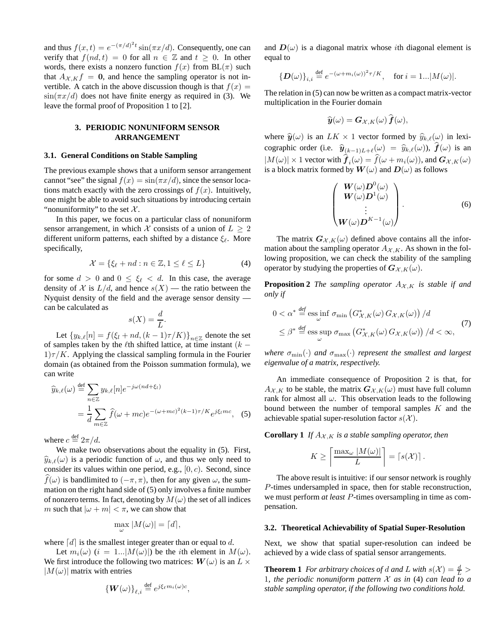and thus  $f(x,t) = e^{-(\pi/d)^2 t} \sin(\pi x/d)$ . Consequently, one can verify that  $f(nd, t) = 0$  for all  $n \in \mathbb{Z}$  and  $t \geq 0$ . In other words, there exists a nonzero function  $f(x)$  from  $BL(\pi)$  such that  $A_{\mathcal{X}, K} f = 0$ , and hence the sampling operator is not invertible. A catch in the above discussion though is that  $f(x) =$  $\sin(\pi x/d)$  does not have finite energy as required in (3). We leave the formal proof of Proposition 1 to [2].

# **3. PERIODIC NONUNIFORM SENSOR ARRANGEMENT**

### **3.1. General Conditions on Stable Sampling**

The previous example shows that a uniform sensor arrangement cannot "see" the signal  $f(x) = \sin(\pi x/d)$ , since the sensor locations match exactly with the zero crossings of  $f(x)$ . Intuitively, one might be able to avoid such situations by introducing certain "nonuniformity" to the set  $X$ .

In this paper, we focus on a particular class of nonuniform sensor arrangement, in which X consists of a union of  $L > 2$ different uniform patterns, each shifted by a distance  $\xi_{\ell}$ . More specifically,

$$
\mathcal{X} = \{ \xi_{\ell} + nd : n \in \mathbb{Z}, 1 \le \ell \le L \}
$$
 (4)

for some  $d > 0$  and  $0 \leq \xi_{\ell} < d$ . In this case, the average density of X is  $L/d$ , and hence  $s(X)$  — the ratio between the Nyquist density of the field and the average sensor density can be calculated as

$$
s(X) = \frac{d}{L}.
$$

Let  ${y_{k,\ell}[n] = f(\xi_l + nd, (k-1)\tau/K)}_{n \in \mathbb{Z}}$  denote the set of samples taken by the  $\ell$ th shifted lattice, at time instant ( $k 1\tau/K$ . Applying the classical sampling formula in the Fourier domain (as obtained from the Poisson summation formula), we can write

$$
\widehat{y}_{k,\ell}(\omega) \stackrel{\text{def}}{=} \sum_{n \in \mathbb{Z}} y_{k,\ell}[n] e^{-j\omega(nd+\xi_l)} \n= \frac{1}{d} \sum_{m \in \mathbb{Z}} \widehat{f}(\omega + mc) e^{-(\omega + mc)^2(k-1)\tau/K} e^{j\xi_l mc},
$$
\n(5)

where  $c \stackrel{\text{def}}{=} 2\pi/d$ .

We make two observations about the equality in (5). First,  $\hat{y}_{k,\ell}(\omega)$  is a periodic function of  $\omega$ , and thus we only need to consider its values within one period, e.g.,  $[0, c)$ . Second, since  $\widehat{f}(\omega)$  is bandlimited to  $(-\pi, \pi)$ , then for any given  $\omega$ , the summation on the right hand side of (5) only involves a finite number of nonzero terms. In fact, denoting by  $M(\omega)$  the set of all indices m such that  $|\omega + m| < \pi$ , we can show that

$$
\max_{\omega} |M(\omega)| = \lceil d \rceil,
$$

where  $[d]$  is the smallest integer greater than or equal to d.

Let  $m_i(\omega)$   $(i = 1...|M(\omega)|)$  be the *i*th element in  $M(\omega)$ . We first introduce the following two matrices:  $W(\omega)$  is an  $L \times$  $|M(\omega)|$  matrix with entries

$$
\left\{ \boldsymbol{W}(\omega) \right\}_{\ell,i} \stackrel{\text{def}}{=} e^{j\xi_{\ell} m_i(\omega)c},
$$

and  $D(\omega)$  is a diagonal matrix whose *i*th diagonal element is equal to

$$
\left\{\boldsymbol{D}(\omega)\right\}_{i,i} \stackrel{\text{def}}{=} e^{-(\omega+m_i(\omega))^2 \tau/K}, \quad \text{for } i=1...|M(\omega)|.
$$

The relation in (5) can now be written as a compact matrix-vector multiplication in the Fourier domain

$$
\widehat{\boldsymbol{y}}(\omega) = \boldsymbol{G}_{\mathcal{X},K}(\omega) \boldsymbol{f}(\omega),
$$

where  $\hat{y}(\omega)$  is an  $LK \times 1$  vector formed by  $\hat{y}_{k,\ell}(\omega)$  in lexicographic order (i.e.  $\hat{y}_{(k-1)L+\ell}(\omega) = \hat{y}_{k,\ell}(\omega)$ ),  $f(\omega)$  is an  $|M(\omega)| \times 1$  vector with  $\boldsymbol{f}_i(\omega) = f(\omega + m_i(\omega))$ , and  $\boldsymbol{G}_{\mathcal{X},K}(\omega)$ is a block matrix formed by  $W(\omega)$  and  $D(\omega)$  as follows

$$
\begin{pmatrix}\nW(\omega)\mathbf{D}^{0}(\omega) \\
W(\omega)\mathbf{D}^{1}(\omega) \\
\vdots \\
W(\omega)\mathbf{D}^{K-1}(\omega)\n\end{pmatrix}.
$$
\n(6)

The matrix  $G_{\mathcal{X},K}(\omega)$  defined above contains all the information about the sampling operator  $A_{\mathcal{X},K}$ . As shown in the following proposition, we can check the stability of the sampling operator by studying the properties of  $G_{\mathcal{X},K}(\omega)$ .

**Proposition 2** *The sampling operator*  $A_{\mathcal{X},K}$  *is stable if and only if*

$$
0 < \alpha^* \stackrel{\text{def}}{=} \text{ess}\inf_{\omega} \sigma_{\min} \left( G_{\mathcal{X}, K}^*(\omega) \, G_{\mathcal{X}, K}(\omega) \right) / d
$$
\n
$$
\leq \beta^* \stackrel{\text{def}}{=} \text{ess}\sup_{\omega} \sigma_{\max} \left( G_{\mathcal{X}, K}^*(\omega) \, G_{\mathcal{X}, K}(\omega) \right) / d < \infty,
$$
\n
$$
(7)
$$

*where*  $\sigma_{\min}(\cdot)$  *and*  $\sigma_{\max}(\cdot)$  *represent the smallest and largest eigenvalue of a matrix, respectively.*

An immediate consequence of Proposition 2 is that, for  $A_{\mathcal{X},K}$  to be stable, the matrix  $G_{\mathcal{X},K}(\omega)$  must have full column rank for almost all  $\omega$ . This observation leads to the following bound between the number of temporal samples  $K$  and the achievable spatial super-resolution factor  $s(\mathcal{X})$ .

**Corollary 1** *If*  $A_{\mathcal{X},K}$  *is a stable sampling operator, then* 

$$
K \ge \left\lceil \frac{\max_{\omega} |M(\omega)|}{L} \right\rceil = \left\lceil s(\mathcal{X}) \right\rceil.
$$

The above result is intuitive: if our sensor network is roughly P-times undersampled in space, then for stable reconstruction, we must perform *at least* P-times oversampling in time as compensation.

#### **3.2. Theoretical Achievability of Spatial Super-Resolution**

Next, we show that spatial super-resolution can indeed be achieved by a wide class of spatial sensor arrangements.

**Theorem 1** *For arbitrary choices of d and L with*  $s(\mathcal{X}) = \frac{d}{L} >$ 1*, the periodic nonuniform pattern* X *as in* (4) *can lead to a stable sampling operator, if the following two conditions hold.*